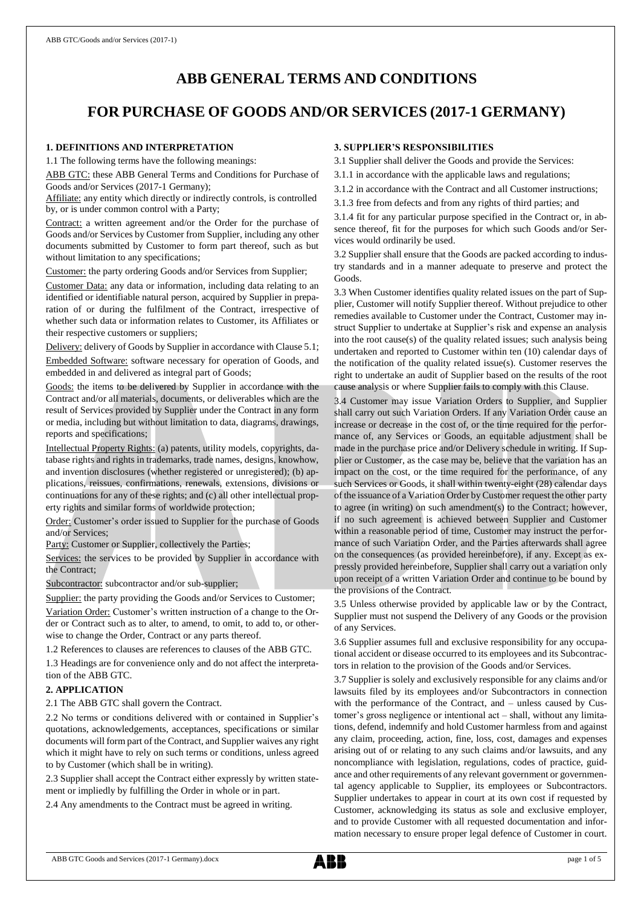# **ABB GENERAL TERMS AND CONDITIONS**

## **FOR PURCHASE OF GOODS AND/OR SERVICES (2017-1 GERMANY)**

## **1. DEFINITIONS AND INTERPRETATION**

1.1 The following terms have the following meanings:

ABB GTC: these ABB General Terms and Conditions for Purchase of Goods and/or Services (2017-1 Germany);

Affiliate: any entity which directly or indirectly controls, is controlled by, or is under common control with a Party;

Contract: a written agreement and/or the Order for the purchase of Goods and/or Services by Customer from Supplier, including any other documents submitted by Customer to form part thereof, such as but without limitation to any specifications;

Customer: the party ordering Goods and/or Services from Supplier;

Customer Data: any data or information, including data relating to an identified or identifiable natural person, acquired by Supplier in preparation of or during the fulfilment of the Contract, irrespective of whether such data or information relates to Customer, its Affiliates or their respective customers or suppliers;

Delivery: delivery of Goods by Supplier in accordance with Clause 5.1; Embedded Software: software necessary for operation of Goods, and embedded in and delivered as integral part of Goods;

Goods: the items to be delivered by Supplier in accordance with the Contract and/or all materials, documents, or deliverables which are the result of Services provided by Supplier under the Contract in any form or media, including but without limitation to data, diagrams, drawings, reports and specifications;

Intellectual Property Rights: (a) patents, utility models, copyrights, database rights and rights in trademarks, trade names, designs, knowhow, and invention disclosures (whether registered or unregistered); (b) applications, reissues, confirmations, renewals, extensions, divisions or continuations for any of these rights; and (c) all other intellectual property rights and similar forms of worldwide protection;

Order: Customer's order issued to Supplier for the purchase of Goods and/or Services;

Party: Customer or Supplier, collectively the Parties;

Services: the services to be provided by Supplier in accordance with the Contract;

Subcontractor: subcontractor and/or sub-supplier;

Supplier: the party providing the Goods and/or Services to Customer; Variation Order: Customer's written instruction of a change to the Order or Contract such as to alter, to amend, to omit, to add to, or otherwise to change the Order, Contract or any parts thereof.

1.2 References to clauses are references to clauses of the ABB GTC.

1.3 Headings are for convenience only and do not affect the interpretation of the ABB GTC.

## **2. APPLICATION**

2.1 The ABB GTC shall govern the Contract.

2.2 No terms or conditions delivered with or contained in Supplier's quotations, acknowledgements, acceptances, specifications or similar documents will form part of the Contract, and Supplier waives any right which it might have to rely on such terms or conditions, unless agreed to by Customer (which shall be in writing).

2.3 Supplier shall accept the Contract either expressly by written statement or impliedly by fulfilling the Order in whole or in part.

2.4 Any amendments to the Contract must be agreed in writing.

## **3. SUPPLIER'S RESPONSIBILITIES**

3.1 Supplier shall deliver the Goods and provide the Services:

3.1.1 in accordance with the applicable laws and regulations;

3.1.2 in accordance with the Contract and all Customer instructions;

3.1.3 free from defects and from any rights of third parties; and

3.1.4 fit for any particular purpose specified in the Contract or, in absence thereof, fit for the purposes for which such Goods and/or Services would ordinarily be used.

3.2 Supplier shall ensure that the Goods are packed according to industry standards and in a manner adequate to preserve and protect the Goods.

3.3 When Customer identifies quality related issues on the part of Supplier, Customer will notify Supplier thereof. Without prejudice to other remedies available to Customer under the Contract, Customer may instruct Supplier to undertake at Supplier's risk and expense an analysis into the root cause(s) of the quality related issues; such analysis being undertaken and reported to Customer within ten (10) calendar days of the notification of the quality related issue(s). Customer reserves the right to undertake an audit of Supplier based on the results of the root cause analysis or where Supplier fails to comply with this Clause.

3.4 Customer may issue Variation Orders to Supplier, and Supplier shall carry out such Variation Orders. If any Variation Order cause an increase or decrease in the cost of, or the time required for the performance of, any Services or Goods, an equitable adjustment shall be made in the purchase price and/or Delivery schedule in writing. If Supplier or Customer, as the case may be, believe that the variation has an impact on the cost, or the time required for the performance, of any such Services or Goods, it shall within twenty-eight (28) calendar days of the issuance of a Variation Order by Customer request the other party to agree (in writing) on such amendment(s) to the Contract; however, if no such agreement is achieved between Supplier and Customer within a reasonable period of time, Customer may instruct the performance of such Variation Order, and the Parties afterwards shall agree on the consequences (as provided hereinbefore), if any. Except as expressly provided hereinbefore, Supplier shall carry out a variation only upon receipt of a written Variation Order and continue to be bound by the provisions of the Contract.

3.5 Unless otherwise provided by applicable law or by the Contract, Supplier must not suspend the Delivery of any Goods or the provision of any Services.

3.6 Supplier assumes full and exclusive responsibility for any occupational accident or disease occurred to its employees and its Subcontractors in relation to the provision of the Goods and/or Services.

3.7 Supplier is solely and exclusively responsible for any claims and/or lawsuits filed by its employees and/or Subcontractors in connection with the performance of the Contract, and – unless caused by Customer's gross negligence or intentional act – shall, without any limitations, defend, indemnify and hold Customer harmless from and against any claim, proceeding, action, fine, loss, cost, damages and expenses arising out of or relating to any such claims and/or lawsuits, and any noncompliance with legislation, regulations, codes of practice, guidance and other requirements of any relevant government or governmental agency applicable to Supplier, its employees or Subcontractors. Supplier undertakes to appear in court at its own cost if requested by Customer, acknowledging its status as sole and exclusive employer, and to provide Customer with all requested documentation and information necessary to ensure proper legal defence of Customer in court.

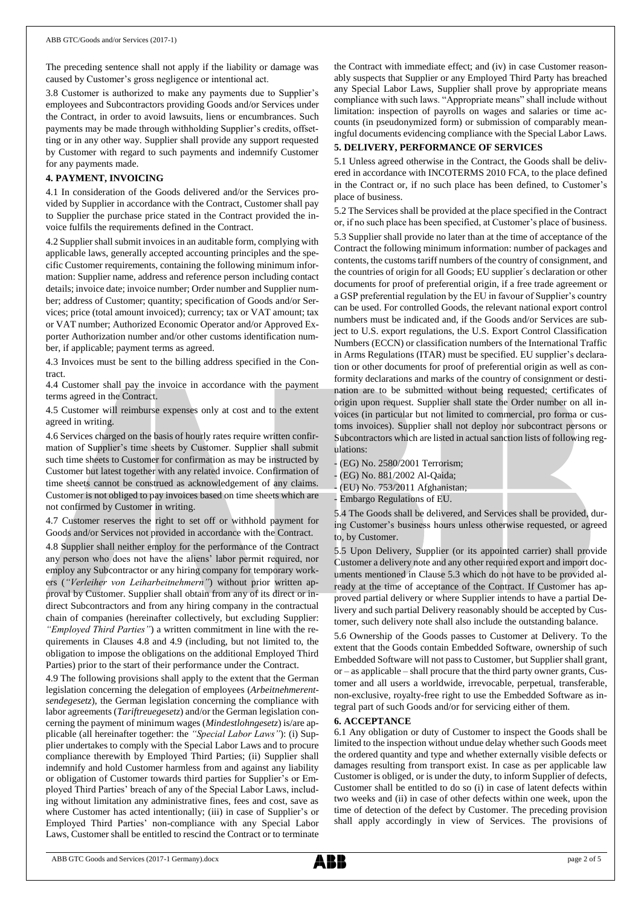The preceding sentence shall not apply if the liability or damage was caused by Customer's gross negligence or intentional act.

3.8 Customer is authorized to make any payments due to Supplier's employees and Subcontractors providing Goods and/or Services under the Contract, in order to avoid lawsuits, liens or encumbrances. Such payments may be made through withholding Supplier's credits, offsetting or in any other way. Supplier shall provide any support requested by Customer with regard to such payments and indemnify Customer for any payments made.

## **4. PAYMENT, INVOICING**

4.1 In consideration of the Goods delivered and/or the Services provided by Supplier in accordance with the Contract, Customer shall pay to Supplier the purchase price stated in the Contract provided the invoice fulfils the requirements defined in the Contract.

4.2 Supplier shall submit invoices in an auditable form, complying with applicable laws, generally accepted accounting principles and the specific Customer requirements, containing the following minimum information: Supplier name, address and reference person including contact details; invoice date; invoice number; Order number and Supplier number; address of Customer; quantity; specification of Goods and/or Services; price (total amount invoiced); currency; tax or VAT amount; tax or VAT number; Authorized Economic Operator and/or Approved Exporter Authorization number and/or other customs identification number, if applicable; payment terms as agreed.

4.3 Invoices must be sent to the billing address specified in the Contract.

4.4 Customer shall pay the invoice in accordance with the payment terms agreed in the Contract.

4.5 Customer will reimburse expenses only at cost and to the extent agreed in writing.

4.6 Services charged on the basis of hourly rates require written confirmation of Supplier's time sheets by Customer. Supplier shall submit such time sheets to Customer for confirmation as may be instructed by Customer but latest together with any related invoice. Confirmation of time sheets cannot be construed as acknowledgement of any claims. Customer is not obliged to pay invoices based on time sheets which are not confirmed by Customer in writing.

4.7 Customer reserves the right to set off or withhold payment for Goods and/or Services not provided in accordance with the Contract.

4.8 Supplier shall neither employ for the performance of the Contract any person who does not have the aliens' labor permit required, nor employ any Subcontractor or any hiring company for temporary workers (*"Verleiher von Leiharbeitnehmern"*) without prior written approval by Customer. Supplier shall obtain from any of its direct or indirect Subcontractors and from any hiring company in the contractual chain of companies (hereinafter collectively, but excluding Supplier: *"Employed Third Parties"*) a written commitment in line with the requirements in Clauses 4.8 and 4.9 (including, but not limited to, the obligation to impose the obligations on the additional Employed Third Parties) prior to the start of their performance under the Contract.

4.9 The following provisions shall apply to the extent that the German legislation concerning the delegation of employees (*Arbeitnehmerentsendegesetz*), the German legislation concerning the compliance with labor agreements (*Tariftreuegesetz*) and/or the German legislation concerning the payment of minimum wages (*Mindestlohngesetz*) is/are applicable (all hereinafter together: the *"Special Labor Laws"*): (i) Supplier undertakes to comply with the Special Labor Laws and to procure compliance therewith by Employed Third Parties; (ii) Supplier shall indemnify and hold Customer harmless from and against any liability or obligation of Customer towards third parties for Supplier's or Employed Third Parties' breach of any of the Special Labor Laws, including without limitation any administrative fines, fees and cost, save as where Customer has acted intentionally; (iii) in case of Supplier's or Employed Third Parties' non-compliance with any Special Labor Laws, Customer shall be entitled to rescind the Contract or to terminate

the Contract with immediate effect; and (iv) in case Customer reasonably suspects that Supplier or any Employed Third Party has breached any Special Labor Laws, Supplier shall prove by appropriate means compliance with such laws. "Appropriate means" shall include without limitation: inspection of payrolls on wages and salaries or time accounts (in pseudonymized form) or submission of comparably meaningful documents evidencing compliance with the Special Labor Laws.

### **5. DELIVERY, PERFORMANCE OF SERVICES**

5.1 Unless agreed otherwise in the Contract, the Goods shall be delivered in accordance with INCOTERMS 2010 FCA, to the place defined in the Contract or, if no such place has been defined, to Customer's place of business.

5.2 The Services shall be provided at the place specified in the Contract or, if no such place has been specified, at Customer's place of business. 5.3 Supplier shall provide no later than at the time of acceptance of the Contract the following minimum information: number of packages and contents, the customs tariff numbers of the country of consignment, and the countries of origin for all Goods; EU supplier´s declaration or other documents for proof of preferential origin, if a free trade agreement or a GSP preferential regulation by the EU in favour of Supplier's country can be used. For controlled Goods, the relevant national export control numbers must be indicated and, if the Goods and/or Services are subject to U.S. export regulations, the U.S. Export Control Classification Numbers (ECCN) or classification numbers of the International Traffic in Arms Regulations (ITAR) must be specified. EU supplier's declaration or other documents for proof of preferential origin as well as conformity declarations and marks of the country of consignment or destination are to be submitted without being requested; certificates of origin upon request. Supplier shall state the Order number on all invoices (in particular but not limited to commercial, pro forma or customs invoices). Supplier shall not deploy nor subcontract persons or Subcontractors which are listed in actual sanction lists of following regulations:

(EG) No. 2580/2001 Terrorism;

- (EG) No. 881/2002 Al-Qaida;
- (EU) No. 753/2011 Afghanistan;

5.4 The Goods shall be delivered, and Services shall be provided, during Customer's business hours unless otherwise requested, or agreed to, by Customer.

5.5 Upon Delivery, Supplier (or its appointed carrier) shall provide Customer a delivery note and any other required export and import documents mentioned in Clause 5.3 which do not have to be provided already at the time of acceptance of the Contract. If Customer has approved partial delivery or where Supplier intends to have a partial Delivery and such partial Delivery reasonably should be accepted by Customer, such delivery note shall also include the outstanding balance.

5.6 Ownership of the Goods passes to Customer at Delivery. To the extent that the Goods contain Embedded Software, ownership of such Embedded Software will not passto Customer, but Supplier shall grant, or – as applicable – shall procure that the third party owner grants, Customer and all users a worldwide, irrevocable, perpetual, transferable, non-exclusive, royalty-free right to use the Embedded Software as integral part of such Goods and/or for servicing either of them.

#### **6. ACCEPTANCE**

6.1 Any obligation or duty of Customer to inspect the Goods shall be limited to the inspection without undue delay whether such Goods meet the ordered quantity and type and whether externally visible defects or damages resulting from transport exist. In case as per applicable law Customer is obliged, or is under the duty, to inform Supplier of defects, Customer shall be entitled to do so (i) in case of latent defects within two weeks and (ii) in case of other defects within one week, upon the time of detection of the defect by Customer. The preceding provision shall apply accordingly in view of Services. The provisions of

<sup>-</sup> Embargo Regulations of EU.

ABB GTC Goods and Services (2017-1 Germany).docx page 2 of 5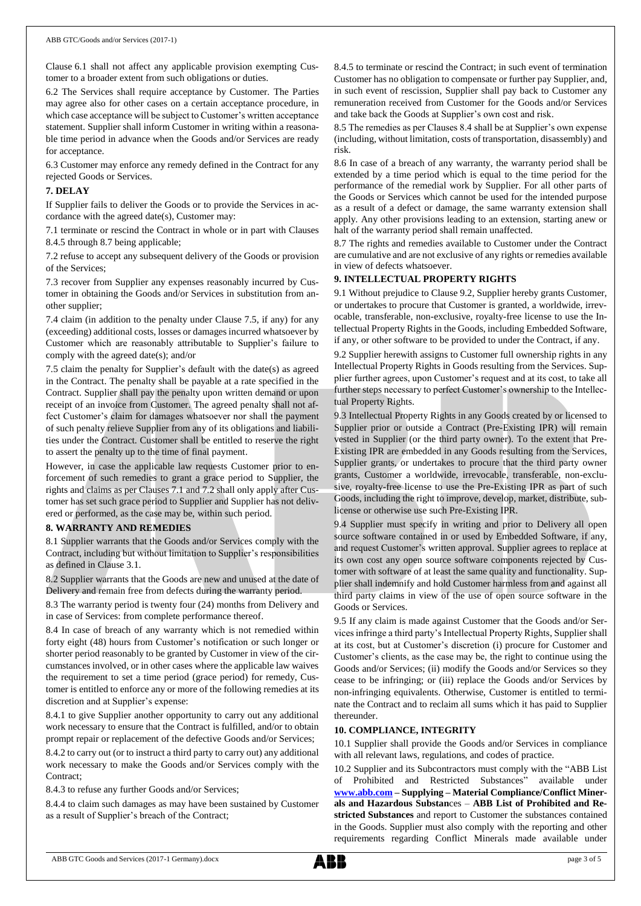Clause 6.1 shall not affect any applicable provision exempting Customer to a broader extent from such obligations or duties.

6.2 The Services shall require acceptance by Customer. The Parties may agree also for other cases on a certain acceptance procedure, in which case acceptance will be subject to Customer's written acceptance statement. Supplier shall inform Customer in writing within a reasonable time period in advance when the Goods and/or Services are ready for acceptance.

6.3 Customer may enforce any remedy defined in the Contract for any rejected Goods or Services.

#### **7. DELAY**

If Supplier fails to deliver the Goods or to provide the Services in accordance with the agreed date(s), Customer may:

7.1 terminate or rescind the Contract in whole or in part with Clauses 8.4.5 through 8.7 being applicable;

7.2 refuse to accept any subsequent delivery of the Goods or provision of the Services;

7.3 recover from Supplier any expenses reasonably incurred by Customer in obtaining the Goods and/or Services in substitution from another supplier;

7.4 claim (in addition to the penalty under Clause 7.5, if any) for any (exceeding) additional costs, losses or damages incurred whatsoever by Customer which are reasonably attributable to Supplier's failure to comply with the agreed date(s); and/or

7.5 claim the penalty for Supplier's default with the date(s) as agreed in the Contract. The penalty shall be payable at a rate specified in the Contract. Supplier shall pay the penalty upon written demand or upon receipt of an invoice from Customer. The agreed penalty shall not affect Customer's claim for damages whatsoever nor shall the payment of such penalty relieve Supplier from any of its obligations and liabilities under the Contract. Customer shall be entitled to reserve the right to assert the penalty up to the time of final payment.

However, in case the applicable law requests Customer prior to enforcement of such remedies to grant a grace period to Supplier, the rights and claims as per Clauses 7.1 and 7.2 shall only apply after Customer has set such grace period to Supplier and Supplier has not delivered or performed, as the case may be, within such period.

#### **8. WARRANTY AND REMEDIES**

8.1 Supplier warrants that the Goods and/or Services comply with the Contract, including but without limitation to Supplier's responsibilities as defined in Clause 3.1.

8.2 Supplier warrants that the Goods are new and unused at the date of Delivery and remain free from defects during the warranty period.

8.3 The warranty period is twenty four (24) months from Delivery and in case of Services: from complete performance thereof.

8.4 In case of breach of any warranty which is not remedied within forty eight (48) hours from Customer's notification or such longer or shorter period reasonably to be granted by Customer in view of the circumstances involved, or in other cases where the applicable law waives the requirement to set a time period (grace period) for remedy, Customer is entitled to enforce any or more of the following remedies at its discretion and at Supplier's expense:

8.4.1 to give Supplier another opportunity to carry out any additional work necessary to ensure that the Contract is fulfilled, and/or to obtain prompt repair or replacement of the defective Goods and/or Services;

8.4.2 to carry out (or to instruct a third party to carry out) any additional work necessary to make the Goods and/or Services comply with the Contract;

8.4.3 to refuse any further Goods and/or Services;

8.4.4 to claim such damages as may have been sustained by Customer as a result of Supplier's breach of the Contract;

8.4.5 to terminate or rescind the Contract; in such event of termination Customer has no obligation to compensate or further pay Supplier, and, in such event of rescission, Supplier shall pay back to Customer any remuneration received from Customer for the Goods and/or Services and take back the Goods at Supplier's own cost and risk.

8.5 The remedies as per Clauses 8.4 shall be at Supplier's own expense (including, without limitation, costs of transportation, disassembly) and risk.

8.6 In case of a breach of any warranty, the warranty period shall be extended by a time period which is equal to the time period for the performance of the remedial work by Supplier. For all other parts of the Goods or Services which cannot be used for the intended purpose as a result of a defect or damage, the same warranty extension shall apply. Any other provisions leading to an extension, starting anew or halt of the warranty period shall remain unaffected.

8.7 The rights and remedies available to Customer under the Contract are cumulative and are not exclusive of any rights or remedies available in view of defects whatsoever.

#### **9. INTELLECTUAL PROPERTY RIGHTS**

9.1 Without prejudice to Clause 9.2, Supplier hereby grants Customer, or undertakes to procure that Customer is granted, a worldwide, irrevocable, transferable, non-exclusive, royalty-free license to use the Intellectual Property Rights in the Goods, including Embedded Software, if any, or other software to be provided to under the Contract, if any.

9.2 Supplier herewith assigns to Customer full ownership rights in any Intellectual Property Rights in Goods resulting from the Services. Supplier further agrees, upon Customer's request and at its cost, to take all further steps necessary to perfect Customer's ownership to the Intellectual Property Rights.

9.3 Intellectual Property Rights in any Goods created by or licensed to Supplier prior or outside a Contract (Pre-Existing IPR) will remain vested in Supplier (or the third party owner). To the extent that Pre-Existing IPR are embedded in any Goods resulting from the Services, Supplier grants, or undertakes to procure that the third party owner grants, Customer a worldwide, irrevocable, transferable, non-exclusive, royalty-free license to use the Pre-Existing IPR as part of such Goods, including the right to improve, develop, market, distribute, sublicense or otherwise use such Pre-Existing IPR.

9.4 Supplier must specify in writing and prior to Delivery all open source software contained in or used by Embedded Software, if any, and request Customer's written approval. Supplier agrees to replace at its own cost any open source software components rejected by Customer with software of at least the same quality and functionality. Supplier shall indemnify and hold Customer harmless from and against all third party claims in view of the use of open source software in the Goods or Services.

9.5 If any claim is made against Customer that the Goods and/or Services infringe a third party's Intellectual Property Rights, Supplier shall at its cost, but at Customer's discretion (i) procure for Customer and Customer's clients, as the case may be, the right to continue using the Goods and/or Services; (ii) modify the Goods and/or Services so they cease to be infringing; or (iii) replace the Goods and/or Services by non-infringing equivalents. Otherwise, Customer is entitled to terminate the Contract and to reclaim all sums which it has paid to Supplier thereunder.

#### **10. COMPLIANCE, INTEGRITY**

10.1 Supplier shall provide the Goods and/or Services in compliance with all relevant laws, regulations, and codes of practice.

10.2 Supplier and its Subcontractors must comply with the "ABB List of Prohibited and Restricted Substances" available under **[www.abb.com](http://www.abb.com/) – Supplying – Material Compliance/Conflict Minerals and Hazardous Substan**ces – **[ABB List of Prohibited and Re](http://search.abb.com/library/Download.aspx?DocumentID=9AKK105713A6396&LanguageCode=en&DocumentPartId=&Action=Launch)[stricted Substances](http://search.abb.com/library/Download.aspx?DocumentID=9AKK105713A6396&LanguageCode=en&DocumentPartId=&Action=Launch)** and report to Customer the substances contained in the Goods. Supplier must also comply with the reporting and other requirements regarding Conflict Minerals made available under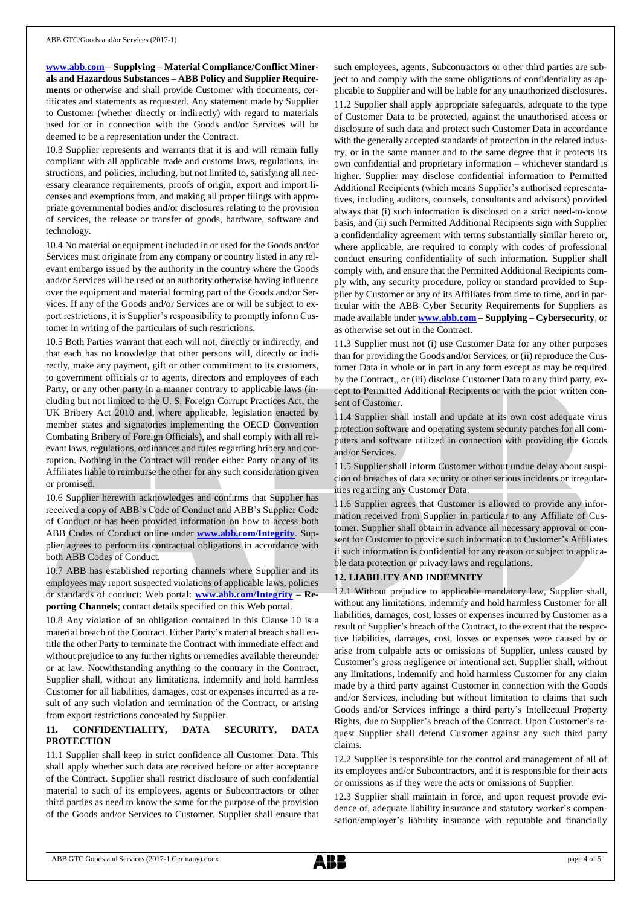**[www.abb.com](http://www.abb.com/) – Supplying – Material Compliance/Conflict Minerals and Hazardous Substances – ABB Policy and Supplier Requirements** or otherwise and shall provide Customer with documents, certificates and statements as requested. Any statement made by Supplier to Customer (whether directly or indirectly) with regard to materials used for or in connection with the Goods and/or Services will be deemed to be a representation under the Contract.

10.3 Supplier represents and warrants that it is and will remain fully compliant with all applicable trade and customs laws, regulations, instructions, and policies, including, but not limited to, satisfying all necessary clearance requirements, proofs of origin, export and import licenses and exemptions from, and making all proper filings with appropriate governmental bodies and/or disclosures relating to the provision of services, the release or transfer of goods, hardware, software and technology.

10.4 No material or equipment included in or used for the Goods and/or Services must originate from any company or country listed in any relevant embargo issued by the authority in the country where the Goods and/or Services will be used or an authority otherwise having influence over the equipment and material forming part of the Goods and/or Services. If any of the Goods and/or Services are or will be subject to export restrictions, it is Supplier's responsibility to promptly inform Customer in writing of the particulars of such restrictions.

10.5 Both Parties warrant that each will not, directly or indirectly, and that each has no knowledge that other persons will, directly or indirectly, make any payment, gift or other commitment to its customers, to government officials or to agents, directors and employees of each Party, or any other party in a manner contrary to applicable laws (including but not limited to the U. S. Foreign Corrupt Practices Act, the UK Bribery Act 2010 and, where applicable, legislation enacted by member states and signatories implementing the OECD Convention Combating Bribery of Foreign Officials), and shall comply with all relevant laws, regulations, ordinances and rules regarding bribery and corruption. Nothing in the Contract will render either Party or any of its Affiliates liable to reimburse the other for any such consideration given or promised.

10.6 Supplier herewith acknowledges and confirms that Supplier has received a copy of ABB's Code of Conduct and ABB's Supplier Code of Conduct or has been provided information on how to access both ABB Codes of Conduct online under **[www.abb.com/Integrity](http://www.abb.com/Integrity)**. Supplier agrees to perform its contractual obligations in accordance with both ABB Codes of Conduct.

10.7 ABB has established reporting channels where Supplier and its employees may report suspected violations of applicable laws, policies or standards of conduct: Web portal: **[www.abb.com/Integrity](http://www.abb.com/Integrity) – Reporting Channels**; contact details specified on this Web portal.

10.8 Any violation of an obligation contained in this Clause 10 is a material breach of the Contract. Either Party's material breach shall entitle the other Party to terminate the Contract with immediate effect and without prejudice to any further rights or remedies available thereunder or at law. Notwithstanding anything to the contrary in the Contract, Supplier shall, without any limitations, indemnify and hold harmless Customer for all liabilities, damages, cost or expenses incurred as a result of any such violation and termination of the Contract, or arising from export restrictions concealed by Supplier.

## **11. CONFIDENTIALITY, DATA SECURITY, DATA PROTECTION**

11.1 Supplier shall keep in strict confidence all Customer Data. This shall apply whether such data are received before or after acceptance of the Contract. Supplier shall restrict disclosure of such confidential material to such of its employees, agents or Subcontractors or other third parties as need to know the same for the purpose of the provision of the Goods and/or Services to Customer. Supplier shall ensure that such employees, agents, Subcontractors or other third parties are subject to and comply with the same obligations of confidentiality as applicable to Supplier and will be liable for any unauthorized disclosures. 11.2 Supplier shall apply appropriate safeguards, adequate to the type of Customer Data to be protected, against the unauthorised access or disclosure of such data and protect such Customer Data in accordance with the generally accepted standards of protection in the related industry, or in the same manner and to the same degree that it protects its own confidential and proprietary information – whichever standard is higher. Supplier may disclose confidential information to Permitted Additional Recipients (which means Supplier's authorised representatives, including auditors, counsels, consultants and advisors) provided always that (i) such information is disclosed on a strict need-to-know basis, and (ii) such Permitted Additional Recipients sign with Supplier a confidentiality agreement with terms substantially similar hereto or, where applicable, are required to comply with codes of professional conduct ensuring confidentiality of such information. Supplier shall comply with, and ensure that the Permitted Additional Recipients comply with, any security procedure, policy or standard provided to Supplier by Customer or any of its Affiliates from time to time, and in particular with the ABB Cyber Security Requirements for Suppliers as made available under **[www.abb.com](http://www.abb.com/) – Supplying – Cybersecurity**, or as otherwise set out in the Contract.

11.3 Supplier must not (i) use Customer Data for any other purposes than for providing the Goods and/or Services, or (ii) reproduce the Customer Data in whole or in part in any form except as may be required by the Contract,, or (iii) disclose Customer Data to any third party, except to Permitted Additional Recipients or with the prior written consent of Customer.

11.4 Supplier shall install and update at its own cost adequate virus protection software and operating system security patches for all computers and software utilized in connection with providing the Goods and/or Services.

11.5 Supplier shall inform Customer without undue delay about suspicion of breaches of data security or other serious incidents or irregularities regarding any Customer Data.

11.6 Supplier agrees that Customer is allowed to provide any information received from Supplier in particular to any Affiliate of Customer. Supplier shall obtain in advance all necessary approval or consent for Customer to provide such information to Customer's Affiliates if such information is confidential for any reason or subject to applicable data protection or privacy laws and regulations.

#### **12. LIABILITY AND INDEMNITY**

12.1 Without prejudice to applicable mandatory law, Supplier shall, without any limitations, indemnify and hold harmless Customer for all liabilities, damages, cost, losses or expenses incurred by Customer as a result of Supplier's breach of the Contract, to the extent that the respective liabilities, damages, cost, losses or expenses were caused by or arise from culpable acts or omissions of Supplier, unless caused by Customer's gross negligence or intentional act. Supplier shall, without any limitations, indemnify and hold harmless Customer for any claim made by a third party against Customer in connection with the Goods and/or Services, including but without limitation to claims that such Goods and/or Services infringe a third party's Intellectual Property Rights, due to Supplier's breach of the Contract. Upon Customer's request Supplier shall defend Customer against any such third party claims.

12.2 Supplier is responsible for the control and management of all of its employees and/or Subcontractors, and it is responsible for their acts or omissions as if they were the acts or omissions of Supplier.

12.3 Supplier shall maintain in force, and upon request provide evidence of, adequate liability insurance and statutory worker's compensation/employer's liability insurance with reputable and financially